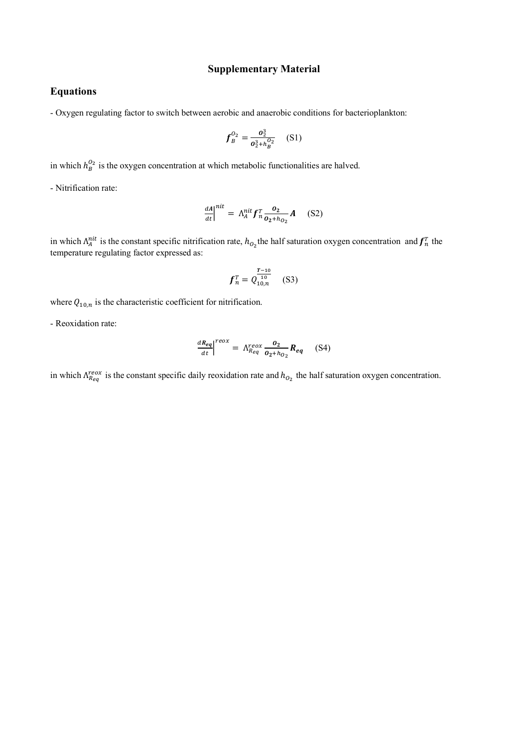## **Supplementary Material**

## **Equations**

- Oxygen regulating factor to switch between aerobic and anaerobic conditions for bacterioplankton:

$$
f_B^{0_2} = \frac{\sigma_2^3}{\sigma_2^3 + h_B^{0_2}} \quad (S1)
$$

in which  $h_B^{0_2}$  is the oxygen concentration at which metabolic functionalities are halved.

- Nitrification rate:

$$
\frac{dA}{dt}\Big|^{nit} = \Lambda_A^{nit} f_n^T \frac{o_2}{o_2 + h_{O_2}} A \quad (S2)
$$

in which  $\Lambda_A^{nit}$  is the constant specific nitrification rate,  $h_{0}$  the half saturation oxygen concentration and  $f_n^T$  the temperature regulating factor expressed as:

$$
f_n^T = Q_{10,n}^{\frac{T-10}{10}} \quad \text{(S3)}
$$

where  $Q_{10,n}$  is the characteristic coefficient for nitrification.

- Reoxidation rate:

$$
\frac{dR_{eq}}{dt}\Big|^{reox} = \Lambda_{R_{eq}}^{reox} \frac{o_2}{o_2 + h_{O_2}} R_{eq} \quad (S4)
$$

in which  $\Lambda_{Reg}^{reox}$  is the constant specific daily reoxidation rate and  $h_{O_2}$  the half saturation oxygen concentration.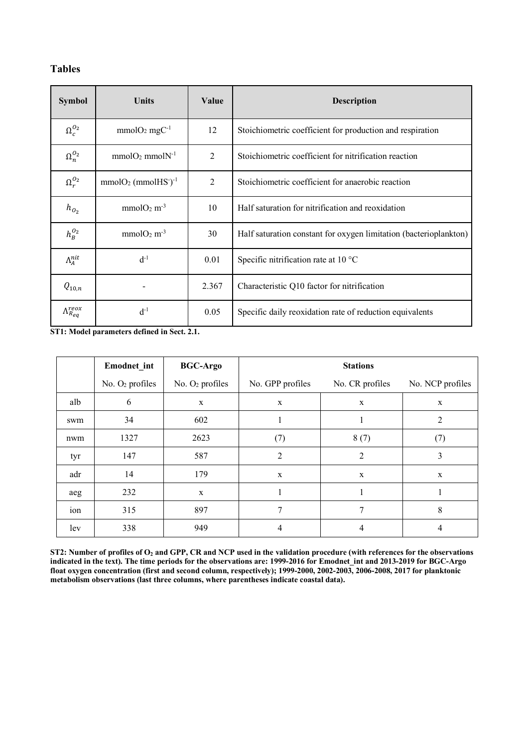## **Tables**

| <b>Symbol</b>              | <b>Units</b>                                  | Value          | <b>Description</b>                                                |  |
|----------------------------|-----------------------------------------------|----------------|-------------------------------------------------------------------|--|
| $\Omega_c^{O_2}$           | $mmolO2 mgC-1$                                | 12             | Stoichiometric coefficient for production and respiration         |  |
| $\Omega_n^{\mathcal{O}_2}$ | $mmolO2mmolN-1$                               | $\overline{2}$ | Stoichiometric coefficient for nitrification reaction             |  |
| $\Omega_r^{O_2}$           | $mmolO2$ (mmolHS <sup>-</sup> ) <sup>-1</sup> | $\overline{2}$ | Stoichiometric coefficient for anaerobic reaction                 |  |
| $h_{O_2}$                  | $mmolO2 m-3$                                  | 10             | Half saturation for nitrification and reoxidation                 |  |
| $h_B^{O_2}$                | $mmolO2 m-3$                                  | 30             | Half saturation constant for oxygen limitation (bacterioplankton) |  |
| $\Lambda^{nit}_A$          | $d^{-1}$                                      | 0.01           | Specific nitrification rate at $10^{\circ}$ C                     |  |
| $Q_{10,n}$                 |                                               | 2.367          | Characteristic Q10 factor for nitrification                       |  |
| $\Lambda^{reox}_{Reg}$     | $d^{-1}$                                      | 0.05           | Specific daily reoxidation rate of reduction equivalents          |  |

**ST1: Model parameters defined in Sect. 2.1.**

|     | <b>Emodnet</b> int | <b>BGC-Argo</b>   | <b>Stations</b>  |                 |                  |
|-----|--------------------|-------------------|------------------|-----------------|------------------|
|     | No. $O2$ profiles  | No. $O2$ profiles | No. GPP profiles | No. CR profiles | No. NCP profiles |
| alb | 6                  | $\mathbf X$       | $\mathbf X$      | $\mathbf X$     | $\mathbf X$      |
| swm | 34                 | 602               |                  |                 | 2                |
| nwm | 1327               | 2623              | (7)              | 8(7)            | (7)              |
| tyr | 147                | 587               | 2                | 2               | 3                |
| adr | 14                 | 179               | $\mathbf x$      | $\mathbf X$     | $\mathbf X$      |
| aeg | 232                | $\mathbf X$       |                  |                 |                  |
| ion | 315                | 897               | 7                | 7               | 8                |
| lev | 338                | 949               | 4                | 4               | 4                |

**ST2: Number of profiles of**  $O_2$  **and GPP, CR and NCP used in the validation procedure (with references for the observations indicated in the text). The time periods for the observations are: 1999-2016 for Emodnet\_int and 2013-2019 for BGC-Argo float oxygen concentration (first and second column, respectively); 1999-2000, 2002-2003, 2006-2008, 2017 for planktonic metabolism observations (last three columns, where parentheses indicate coastal data).**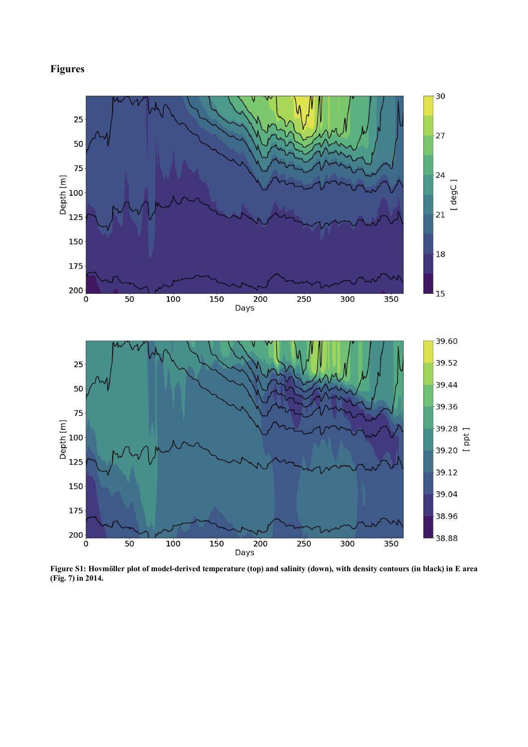## **Figures**



**(Fig. 7) in 2014.**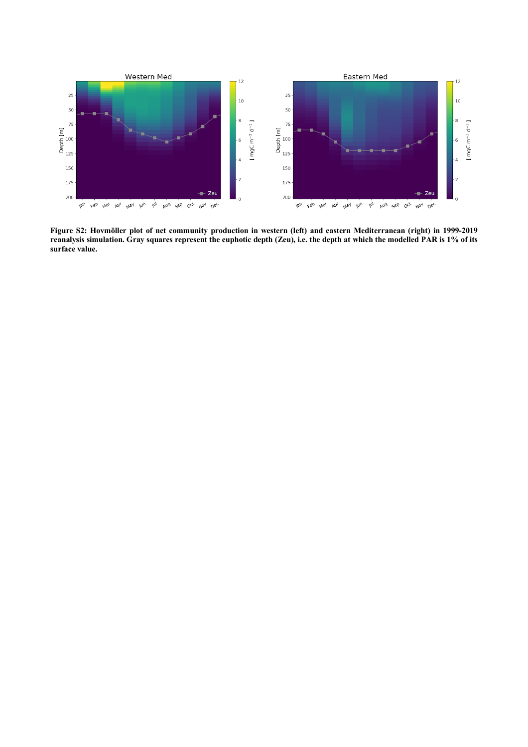

**Figure S2: Hovmöller plot of net community production in western (left) and eastern Mediterranean (right) in 1999-2019 reanalysis simulation. Gray squares represent the euphotic depth (Zeu), i.e. the depth at which the modelled PAR is 1% of its surface value.**